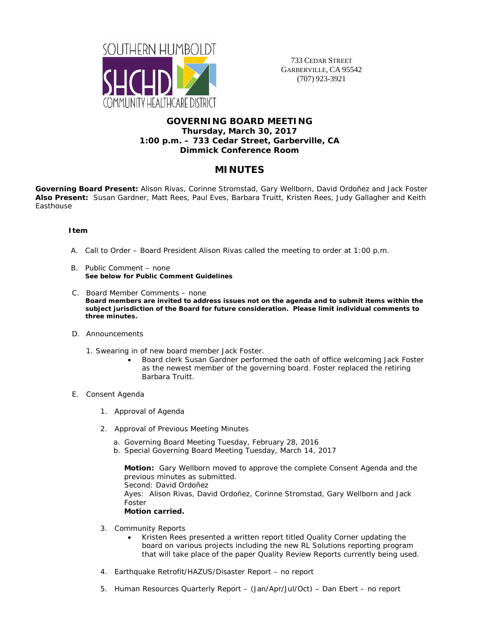

733 CEDAR STREET GARBERVILLE, CA 95542 (707) 923-3921

## **GOVERNING BOARD MEETING Thursday, March 30, 2017 1:00 p.m. – 733 Cedar Street, Garberville, CA Dimmick Conference Room**

# **MINUTES**

**Governing Board Present:** Alison Rivas, Corinne Stromstad, Gary Wellborn, David Ordoñez and Jack Foster **Also Present:** Susan Gardner, Matt Rees, Paul Eves, Barbara Truitt, Kristen Rees, Judy Gallagher and Keith Easthouse

### **Item**

- A. Call to Order Board President Alison Rivas called the meeting to order at 1:00 p.m.
- B. Public Comment none **See below for Public Comment Guidelines**
- C. Board Member Comments none **Board members are invited to address issues not on the agenda and to submit items within the subject jurisdiction of the Board for future consideration. Please limit individual comments to three minutes.**
- D. Announcements
	- 1. Swearing in of new board member Jack Foster.
		- Board clerk Susan Gardner performed the oath of office welcoming Jack Foster as the newest member of the governing board. Foster replaced the retiring Barbara Truitt.
- E. Consent Agenda
	- 1. Approval of Agenda
	- 2. Approval of Previous Meeting Minutes
		- a. Governing Board Meeting Tuesday, February 28, 2016
		- b. Special Governing Board Meeting Tuesday, March 14, 2017

**Motion:** Gary Wellborn moved to approve the complete Consent Agenda and the previous minutes as submitted. Second: David Ordoñez Ayes: Alison Rivas, David Ordoñez, Corinne Stromstad, Gary Wellborn and Jack Foster **Motion carried.** 

- 3. Community Reports
	- Kristen Rees presented a written report titled Quality Corner updating the board on various projects including the new RL Solutions reporting program that will take place of the paper Quality Review Reports currently being used.
- 4. Earthquake Retrofit/HAZUS/Disaster Report no report
- 5. Human Resources Quarterly Report (Jan/Apr/Jul/Oct) Dan Ebert no report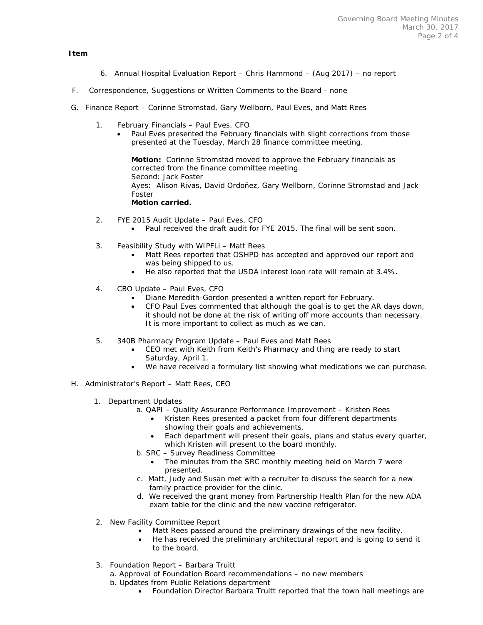#### **Item**

- 6. Annual Hospital Evaluation Report Chris Hammond (Aug 2017) no report
- F. Correspondence, Suggestions or Written Comments to the Board none
- G. Finance Report Corinne Stromstad, Gary Wellborn, Paul Eves, and Matt Rees
	- 1. February Financials Paul Eves, CFO
		- Paul Eves presented the February financials with slight corrections from those presented at the Tuesday, March 28 finance committee meeting.

**Motion:** Corinne Stromstad moved to approve the February financials as corrected from the finance committee meeting. Second: Jack Foster Ayes: Alison Rivas, David Ordoñez, Gary Wellborn, Corinne Stromstad and Jack Foster **Motion carried.** 

- 2. FYE 2015 Audit Update Paul Eves, CFO
	- Paul received the draft audit for FYE 2015. The final will be sent soon.
- 3. Feasibility Study with WIPFLi Matt Rees
	- Matt Rees reported that OSHPD has accepted and approved our report and was being shipped to us.
	- He also reported that the USDA interest loan rate will remain at 3.4%.
- 4. CBO Update Paul Eves, CFO
	- Diane Meredith-Gordon presented a written report for February.
	- CFO Paul Eves commented that although the goal is to get the AR days down, it should not be done at the risk of writing off more accounts than necessary. It is more important to collect as much as we can.
- 5. 340B Pharmacy Program Update Paul Eves and Matt Rees
	- CEO met with Keith from Keith's Pharmacy and thing are ready to start Saturday, April 1.
	- We have received a formulary list showing what medications we can purchase.
- H. Administrator's Report Matt Rees, CEO
	- 1. Department Updates
		- a. QAPI Quality Assurance Performance Improvement Kristen Rees
			- Kristen Rees presented a packet from four different departments showing their goals and achievements.
			- Each department will present their goals, plans and status every quarter, which Kristen will present to the board monthly.
		- b. SRC Survey Readiness Committee
			- The minutes from the SRC monthly meeting held on March 7 were presented.
		- c. Matt, Judy and Susan met with a recruiter to discuss the search for a new family practice provider for the clinic.
		- d. We received the grant money from Partnership Health Plan for the new ADA exam table for the clinic and the new vaccine refrigerator.
	- 2. New Facility Committee Report
		- Matt Rees passed around the preliminary drawings of the new facility.
			- He has received the preliminary architectural report and is going to send it to the board.
	- 3. Foundation Report Barbara Truitt
		- a. Approval of Foundation Board recommendations no new members
		- b. Updates from Public Relations department
			- Foundation Director Barbara Truitt reported that the town hall meetings are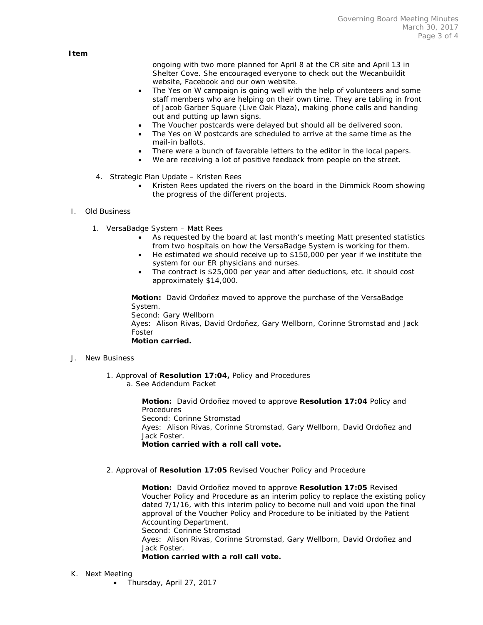ongoing with two more planned for April 8 at the CR site and April 13 in Shelter Cove. She encouraged everyone to check out the Wecanbuildit website, Facebook and our own website.

- The Yes on W campaign is going well with the help of volunteers and some staff members who are helping on their own time. They are tabling in front of Jacob Garber Square (Live Oak Plaza), making phone calls and handing out and putting up lawn signs.
- The Voucher postcards were delayed but should all be delivered soon.
- The Yes on W postcards are scheduled to arrive at the same time as the mail-in ballots.
- There were a bunch of favorable letters to the editor in the local papers.
- We are receiving a lot of positive feedback from people on the street.
- 4. Strategic Plan Update Kristen Rees
	- Kristen Rees updated the rivers on the board in the Dimmick Room showing the progress of the different projects.

#### I. Old Business

- 1. VersaBadge System Matt Rees
	- As requested by the board at last month's meeting Matt presented statistics from two hospitals on how the VersaBadge System is working for them.
	- He estimated we should receive up to \$150,000 per year if we institute the system for our ER physicians and nurses.
	- The contract is \$25,000 per year and after deductions, etc. it should cost approximately \$14,000.

**Motion:** David Ordoñez moved to approve the purchase of the VersaBadge System.

Second: Gary Wellborn Ayes: Alison Rivas, David Ordoñez, Gary Wellborn, Corinne Stromstad and Jack Foster **Motion carried.** 

#### J. New Business

1. Approval of **Resolution 17:04,** Policy and Procedures a. See Addendum Packet

> **Motion:** David Ordoñez moved to approve **Resolution 17:04** Policy and **Procedures** Second: Corinne Stromstad Ayes: Alison Rivas, Corinne Stromstad, Gary Wellborn, David Ordoñez and Jack Foster. **Motion carried with a roll call vote.**

2. Approval of **Resolution 17:05** Revised Voucher Policy and Procedure

**Motion:** David Ordoñez moved to approve **Resolution 17:05** Revised Voucher Policy and Procedure as an interim policy to replace the existing policy dated 7/1/16, with this interim policy to become null and void upon the final approval of the Voucher Policy and Procedure to be initiated by the Patient Accounting Department. Second: Corinne Stromstad Ayes: Alison Rivas, Corinne Stromstad, Gary Wellborn, David Ordoñez and Jack Foster.

#### **Motion carried with a roll call vote.**

- K. Next Meeting
	- Thursday, April 27, 2017

 **Item**